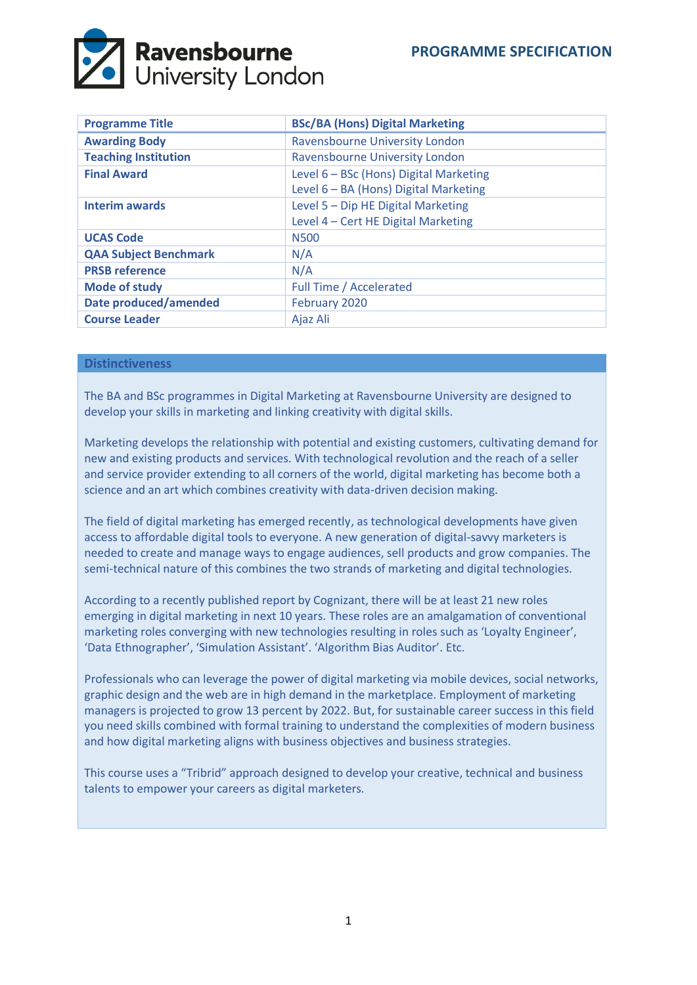

| <b>Programme Title</b>       | <b>BSc/BA (Hons) Digital Marketing</b>                                          |
|------------------------------|---------------------------------------------------------------------------------|
| <b>Awarding Body</b>         | Ravensbourne University London                                                  |
| <b>Teaching Institution</b>  | Ravensbourne University London                                                  |
| <b>Final Award</b>           | Level 6 - BSc (Hons) Digital Marketing<br>Level 6 - BA (Hons) Digital Marketing |
| <b>Interim awards</b>        | Level 5 - Dip HE Digital Marketing<br>Level 4 - Cert HE Digital Marketing       |
| <b>UCAS Code</b>             | N <sub>500</sub>                                                                |
| <b>QAA Subject Benchmark</b> | N/A                                                                             |
| <b>PRSB reference</b>        | N/A                                                                             |
| <b>Mode of study</b>         | <b>Full Time / Accelerated</b>                                                  |
| <b>Date produced/amended</b> | February 2020                                                                   |
| <b>Course Leader</b>         | Ajaz Ali                                                                        |

# **Distinctiveness**

The BA and BSc programmes in Digital Marketing at Ravensbourne University are designed to develop your skills in marketing and linking creativity with digital skills.

Marketing develops the relationship with potential and existing customers, cultivating demand for new and existing products and services. With technological revolution and the reach of a seller and service provider extending to all corners of the world, digital marketing has become both a science and an art which combines creativity with data-driven decision making.

The field of digital marketing has emerged recently, as technological developments have given access to affordable digital tools to everyone. A new generation of digital-savvy marketers is needed to create and manage ways to engage audiences, sell products and grow companies. The semi-technical nature of this combines the two strands of marketing and digital technologies.

According to a recently published report by Cognizant, there will be at least 21 new roles emerging in digital marketing in next 10 years. These roles are an amalgamation of conventional marketing roles converging with new technologies resulting in roles such as 'Loyalty Engineer', 'Data Ethnographer', 'Simulation Assistant'. 'Algorithm Bias Auditor'. Etc.

Professionals who can leverage the power of digital marketing via mobile devices, social networks, graphic design and the web are in high demand in the marketplace. Employment of marketing managers is projected to grow 13 percent by 2022. But, for sustainable career success in this field you need skills combined with formal training to understand the complexities of modern business and how digital marketing aligns with business objectives and business strategies.

This course uses a "Tribrid" approach designed to develop your creative, technical and business talents to empower your careers as digital marketers.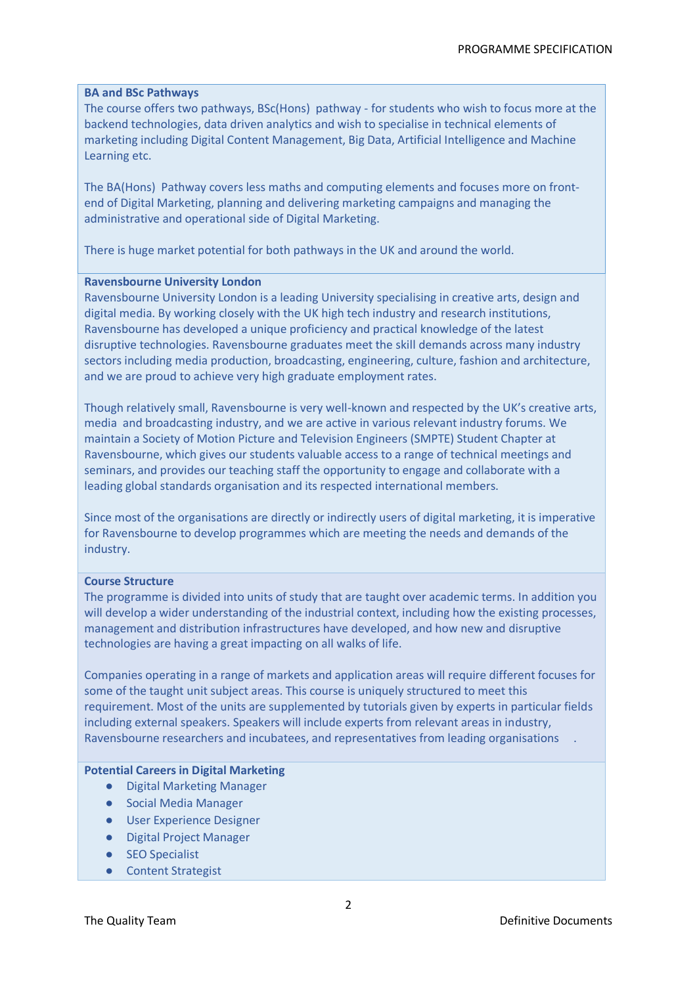#### **BA and BSc Pathways**

The course offers two pathways, BSc(Hons) pathway - for students who wish to focus more at the backend technologies, data driven analytics and wish to specialise in technical elements of marketing including Digital Content Management, Big Data, Artificial Intelligence and Machine Learning etc.

The BA(Hons) Pathway covers less maths and computing elements and focuses more on frontend of Digital Marketing, planning and delivering marketing campaigns and managing the administrative and operational side of Digital Marketing.

There is huge market potential for both pathways in the UK and around the world.

#### **Ravensbourne University London**

Ravensbourne University London is a leading University specialising in creative arts, design and digital media. By working closely with the UK high tech industry and research institutions, Ravensbourne has developed a unique proficiency and practical knowledge of the latest disruptive technologies. Ravensbourne graduates meet the skill demands across many industry sectors including media production, broadcasting, engineering, culture, fashion and architecture, and we are proud to achieve very high graduate employment rates.

Though relatively small, Ravensbourne is very well-known and respected by the UK's creative arts, media and broadcasting industry, and we are active in various relevant industry forums. We maintain a Society of Motion Picture and Television Engineers (SMPTE) Student Chapter at Ravensbourne, which gives our students valuable access to a range of technical meetings and seminars, and provides our teaching staff the opportunity to engage and collaborate with a leading global standards organisation and its respected international members.

Since most of the organisations are directly or indirectly users of digital marketing, it is imperative for Ravensbourne to develop programmes which are meeting the needs and demands of the industry.

#### **Course Structure**

The programme is divided into units of study that are taught over academic terms. In addition you will develop a wider understanding of the industrial context, including how the existing processes, management and distribution infrastructures have developed, and how new and disruptive technologies are having a great impacting on all walks of life.

Companies operating in a range of markets and application areas will require different focuses for some of the taught unit subject areas. This course is uniquely structured to meet this requirement. Most of the units are supplemented by tutorials given by experts in particular fields including external speakers. Speakers will include experts from relevant areas in industry, Ravensbourne researchers and incubatees, and representatives from leading organisations.

#### **Potential Careers in Digital Marketing**

- Digital Marketing Manager
- Social Media Manager
- User Experience Designer
- Digital Project Manager
- SEO Specialist
- Content Strategist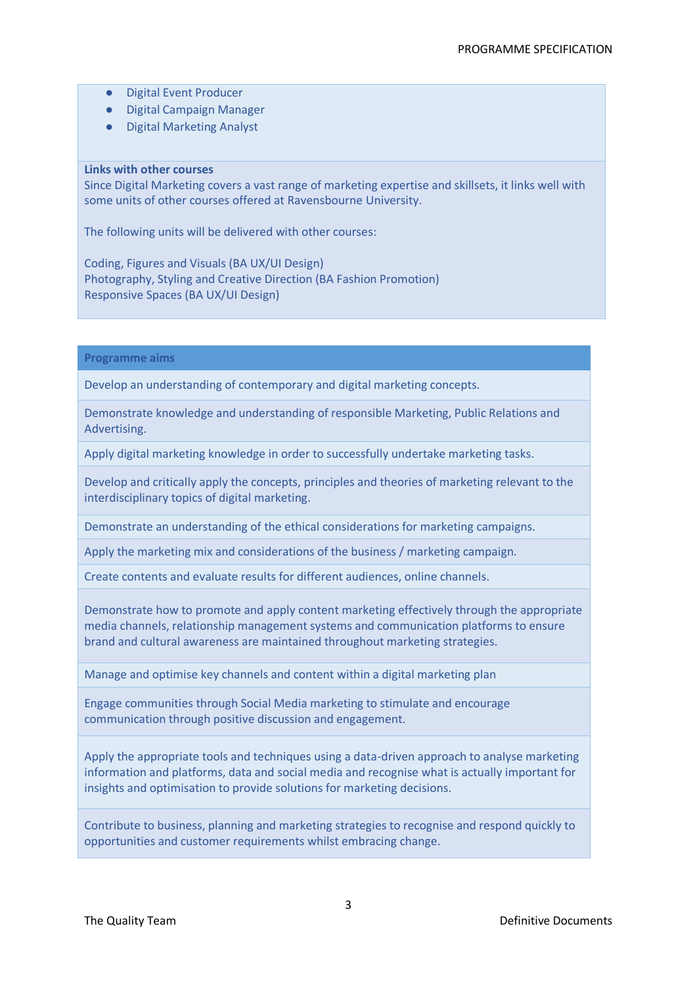- Digital Event Producer
- Digital Campaign Manager
- Digital Marketing Analyst

# **Links with other courses**

Since Digital Marketing covers a vast range of marketing expertise and skillsets, it links well with some units of other courses offered at Ravensbourne University.

The following units will be delivered with other courses:

Coding, Figures and Visuals (BA UX/UI Design) Photography, Styling and Creative Direction (BA Fashion Promotion) Responsive Spaces (BA UX/UI Design)

**Programme aims**

Develop an understanding of contemporary and digital marketing concepts.

Demonstrate knowledge and understanding of responsible Marketing, Public Relations and Advertising.

Apply digital marketing knowledge in order to successfully undertake marketing tasks.

Develop and critically apply the concepts, principles and theories of marketing relevant to the interdisciplinary topics of digital marketing.

Demonstrate an understanding of the ethical considerations for marketing campaigns.

Apply the marketing mix and considerations of the business / marketing campaign.

Create contents and evaluate results for different audiences, online channels.

Demonstrate how to promote and apply content marketing effectively through the appropriate media channels, relationship management systems and communication platforms to ensure brand and cultural awareness are maintained throughout marketing strategies.

Manage and optimise key channels and content within a digital marketing plan

Engage communities through Social Media marketing to stimulate and encourage communication through positive discussion and engagement.

Apply the appropriate tools and techniques using a data-driven approach to analyse marketing information and platforms, data and social media and recognise what is actually important for insights and optimisation to provide solutions for marketing decisions.

Contribute to business, planning and marketing strategies to recognise and respond quickly to opportunities and customer requirements whilst embracing change.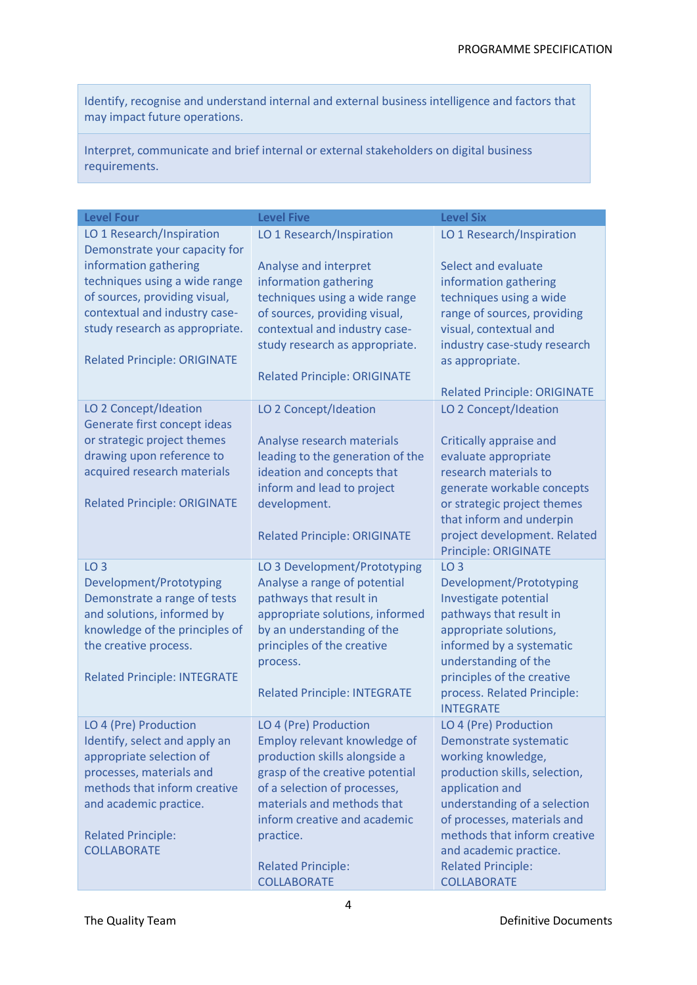Identify, recognise and understand internal and external business intelligence and factors that may impact future operations.

Interpret, communicate and brief internal or external stakeholders on digital business requirements.

| <b>Level Four</b>                                                                                                                                                                                                                                               | <b>Level Five</b>                                                                                                                                                                                                                                                                       | <b>Level Six</b>                                                                                                                                                                                                                                                                                      |
|-----------------------------------------------------------------------------------------------------------------------------------------------------------------------------------------------------------------------------------------------------------------|-----------------------------------------------------------------------------------------------------------------------------------------------------------------------------------------------------------------------------------------------------------------------------------------|-------------------------------------------------------------------------------------------------------------------------------------------------------------------------------------------------------------------------------------------------------------------------------------------------------|
| LO 1 Research/Inspiration<br>Demonstrate your capacity for<br>information gathering<br>techniques using a wide range<br>of sources, providing visual,<br>contextual and industry case-<br>study research as appropriate.<br><b>Related Principle: ORIGINATE</b> | LO 1 Research/Inspiration<br>Analyse and interpret<br>information gathering<br>techniques using a wide range<br>of sources, providing visual,<br>contextual and industry case-<br>study research as appropriate.<br><b>Related Principle: ORIGINATE</b>                                 | LO 1 Research/Inspiration<br>Select and evaluate<br>information gathering<br>techniques using a wide<br>range of sources, providing<br>visual, contextual and<br>industry case-study research<br>as appropriate.<br><b>Related Principle: ORIGINATE</b>                                               |
| LO 2 Concept/Ideation<br>Generate first concept ideas<br>or strategic project themes<br>drawing upon reference to<br>acquired research materials<br><b>Related Principle: ORIGINATE</b>                                                                         | LO 2 Concept/Ideation<br>Analyse research materials<br>leading to the generation of the<br>ideation and concepts that<br>inform and lead to project<br>development.<br><b>Related Principle: ORIGINATE</b>                                                                              | LO 2 Concept/Ideation<br>Critically appraise and<br>evaluate appropriate<br>research materials to<br>generate workable concepts<br>or strategic project themes<br>that inform and underpin<br>project development. Related<br><b>Principle: ORIGINATE</b>                                             |
| LO <sub>3</sub><br>Development/Prototyping<br>Demonstrate a range of tests<br>and solutions, informed by<br>knowledge of the principles of<br>the creative process.<br><b>Related Principle: INTEGRATE</b>                                                      | LO 3 Development/Prototyping<br>Analyse a range of potential<br>pathways that result in<br>appropriate solutions, informed<br>by an understanding of the<br>principles of the creative<br>process.<br><b>Related Principle: INTEGRATE</b>                                               | LO <sub>3</sub><br>Development/Prototyping<br>Investigate potential<br>pathways that result in<br>appropriate solutions,<br>informed by a systematic<br>understanding of the<br>principles of the creative<br>process. Related Principle:<br><b>INTEGRATE</b>                                         |
| LO 4 (Pre) Production<br>Identify, select and apply an<br>appropriate selection of<br>processes, materials and<br>methods that inform creative<br>and academic practice.<br><b>Related Principle:</b><br><b>COLLABORATE</b>                                     | LO 4 (Pre) Production<br>Employ relevant knowledge of<br>production skills alongside a<br>grasp of the creative potential<br>of a selection of processes,<br>materials and methods that<br>inform creative and academic<br>practice.<br><b>Related Principle:</b><br><b>COLLABORATE</b> | LO 4 (Pre) Production<br>Demonstrate systematic<br>working knowledge,<br>production skills, selection,<br>application and<br>understanding of a selection<br>of processes, materials and<br>methods that inform creative<br>and academic practice.<br><b>Related Principle:</b><br><b>COLLABORATE</b> |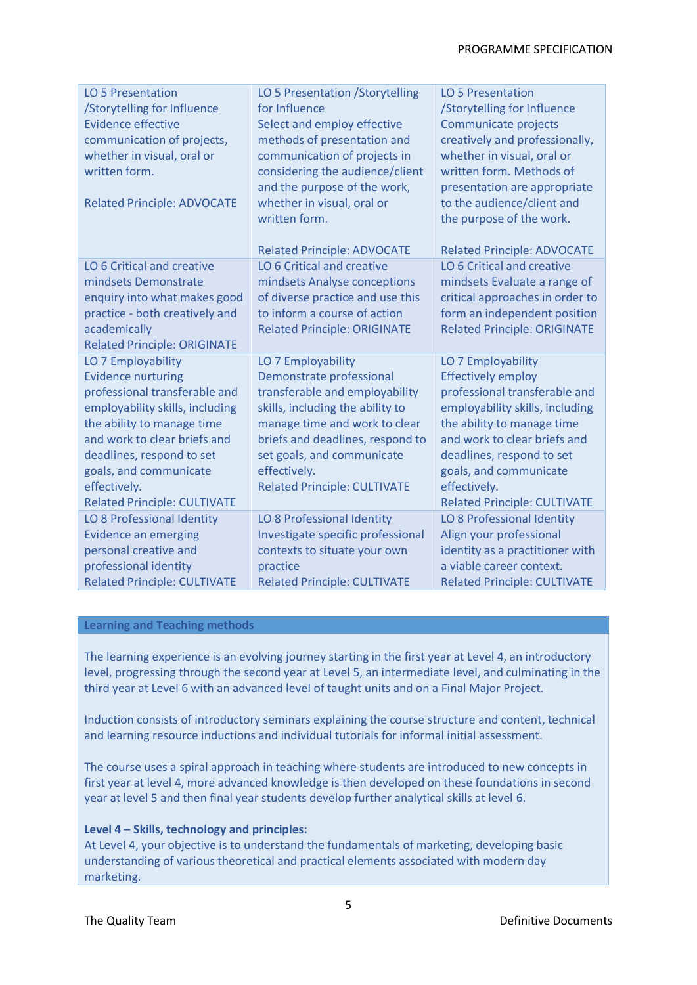| LO 5 Presentation<br>/Storytelling for Influence<br><b>Evidence effective</b><br>communication of projects,<br>whether in visual, oral or<br>written form.<br><b>Related Principle: ADVOCATE</b>                                                                                                | LO 5 Presentation / Storytelling<br>for Influence<br>Select and employ effective<br>methods of presentation and<br>communication of projects in<br>considering the audience/client<br>and the purpose of the work,<br>whether in visual, oral or<br>written form.<br><b>Related Principle: ADVOCATE</b> | LO 5 Presentation<br>/Storytelling for Influence<br>Communicate projects<br>creatively and professionally,<br>whether in visual, oral or<br>written form. Methods of<br>presentation are appropriate<br>to the audience/client and<br>the purpose of the work.<br><b>Related Principle: ADVOCATE</b> |
|-------------------------------------------------------------------------------------------------------------------------------------------------------------------------------------------------------------------------------------------------------------------------------------------------|---------------------------------------------------------------------------------------------------------------------------------------------------------------------------------------------------------------------------------------------------------------------------------------------------------|------------------------------------------------------------------------------------------------------------------------------------------------------------------------------------------------------------------------------------------------------------------------------------------------------|
| LO 6 Critical and creative<br>mindsets Demonstrate<br>enquiry into what makes good<br>practice - both creatively and<br>academically<br><b>Related Principle: ORIGINATE</b>                                                                                                                     | LO 6 Critical and creative<br>mindsets Analyse conceptions<br>of diverse practice and use this<br>to inform a course of action<br><b>Related Principle: ORIGINATE</b>                                                                                                                                   | LO 6 Critical and creative<br>mindsets Evaluate a range of<br>critical approaches in order to<br>form an independent position<br><b>Related Principle: ORIGINATE</b>                                                                                                                                 |
| LO 7 Employability<br><b>Evidence nurturing</b><br>professional transferable and<br>employability skills, including<br>the ability to manage time<br>and work to clear briefs and<br>deadlines, respond to set<br>goals, and communicate<br>effectively.<br><b>Related Principle: CULTIVATE</b> | LO 7 Employability<br>Demonstrate professional<br>transferable and employability<br>skills, including the ability to<br>manage time and work to clear<br>briefs and deadlines, respond to<br>set goals, and communicate<br>effectively.<br><b>Related Principle: CULTIVATE</b>                          | LO 7 Employability<br><b>Effectively employ</b><br>professional transferable and<br>employability skills, including<br>the ability to manage time<br>and work to clear briefs and<br>deadlines, respond to set<br>goals, and communicate<br>effectively.<br><b>Related Principle: CULTIVATE</b>      |
| LO 8 Professional Identity<br><b>Evidence an emerging</b><br>personal creative and<br>professional identity<br><b>Related Principle: CULTIVATE</b>                                                                                                                                              | LO 8 Professional Identity<br>Investigate specific professional<br>contexts to situate your own<br>practice<br><b>Related Principle: CULTIVATE</b>                                                                                                                                                      | LO 8 Professional Identity<br>Align your professional<br>identity as a practitioner with<br>a viable career context.<br><b>Related Principle: CULTIVATE</b>                                                                                                                                          |

# **Learning and Teaching methods**

The learning experience is an evolving journey starting in the first year at Level 4, an introductory level, progressing through the second year at Level 5, an intermediate level, and culminating in the third year at Level 6 with an advanced level of taught units and on a Final Major Project.

Induction consists of introductory seminars explaining the course structure and content, technical and learning resource inductions and individual tutorials for informal initial assessment.

The course uses a spiral approach in teaching where students are introduced to new concepts in first year at level 4, more advanced knowledge is then developed on these foundations in second year at level 5 and then final year students develop further analytical skills at level 6.

#### **Level 4 – Skills, technology and principles:**

At Level 4, your objective is to understand the fundamentals of marketing, developing basic understanding of various theoretical and practical elements associated with modern day marketing.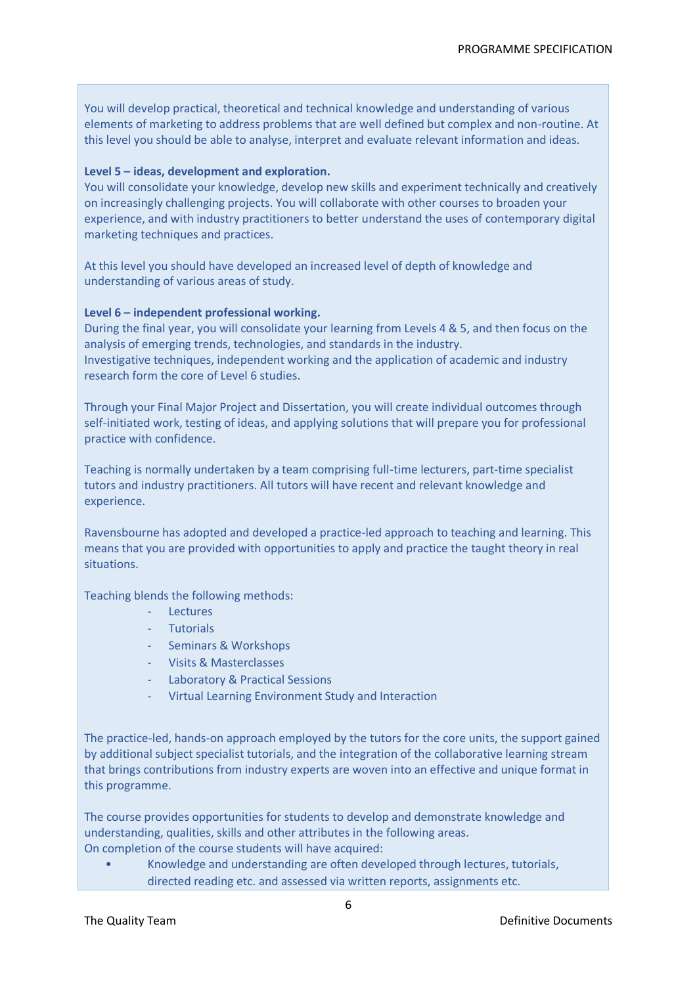You will develop practical, theoretical and technical knowledge and understanding of various elements of marketing to address problems that are well defined but complex and non-routine. At this level you should be able to analyse, interpret and evaluate relevant information and ideas.

# **Level 5 – ideas, development and exploration.**

You will consolidate your knowledge, develop new skills and experiment technically and creatively on increasingly challenging projects. You will collaborate with other courses to broaden your experience, and with industry practitioners to better understand the uses of contemporary digital marketing techniques and practices.

At this level you should have developed an increased level of depth of knowledge and understanding of various areas of study.

# **Level 6 – independent professional working.**

During the final year, you will consolidate your learning from Levels 4 & 5, and then focus on the analysis of emerging trends, technologies, and standards in the industry. Investigative techniques, independent working and the application of academic and industry research form the core of Level 6 studies.

Through your Final Major Project and Dissertation, you will create individual outcomes through self-initiated work, testing of ideas, and applying solutions that will prepare you for professional practice with confidence.

Teaching is normally undertaken by a team comprising full-time lecturers, part-time specialist tutors and industry practitioners. All tutors will have recent and relevant knowledge and experience.

Ravensbourne has adopted and developed a practice-led approach to teaching and learning. This means that you are provided with opportunities to apply and practice the taught theory in real situations.

Teaching blends the following methods:

- Lectures
- **Tutorials**
- Seminars & Workshops
- Visits & Masterclasses
- Laboratory & Practical Sessions
- Virtual Learning Environment Study and Interaction

The practice-led, hands-on approach employed by the tutors for the core units, the support gained by additional subject specialist tutorials, and the integration of the collaborative learning stream that brings contributions from industry experts are woven into an effective and unique format in this programme.

The course provides opportunities for students to develop and demonstrate knowledge and understanding, qualities, skills and other attributes in the following areas. On completion of the course students will have acquired:

• Knowledge and understanding are often developed through lectures, tutorials, directed reading etc. and assessed via written reports, assignments etc.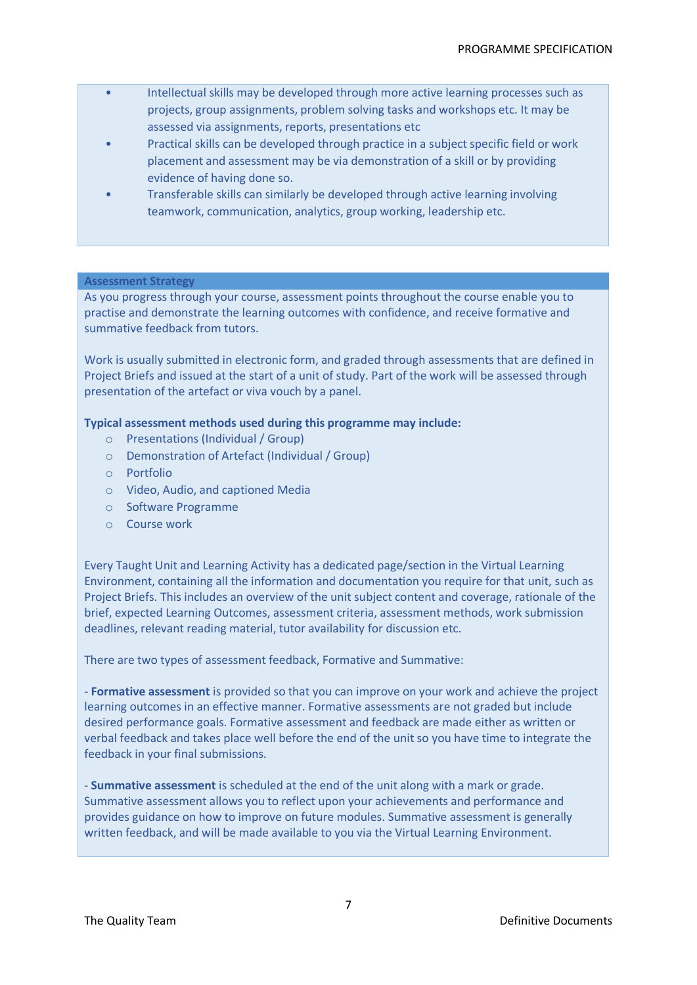- Intellectual skills may be developed through more active learning processes such as projects, group assignments, problem solving tasks and workshops etc. It may be assessed via assignments, reports, presentations etc
- Practical skills can be developed through practice in a subject specific field or work placement and assessment may be via demonstration of a skill or by providing evidence of having done so.
- Transferable skills can similarly be developed through active learning involving teamwork, communication, analytics, group working, leadership etc.

# **Assessment Strategy**

As you progress through your course, assessment points throughout the course enable you to practise and demonstrate the learning outcomes with confidence, and receive formative and summative feedback from tutors.

Work is usually submitted in electronic form, and graded through assessments that are defined in Project Briefs and issued at the start of a unit of study. Part of the work will be assessed through presentation of the artefact or viva vouch by a panel.

# **Typical assessment methods used during this programme may include:**

- o Presentations (Individual / Group)
- o Demonstration of Artefact (Individual / Group)
- o Portfolio
- o Video, Audio, and captioned Media
- o Software Programme
- o Course work

Every Taught Unit and Learning Activity has a dedicated page/section in the Virtual Learning Environment, containing all the information and documentation you require for that unit, such as Project Briefs. This includes an overview of the unit subject content and coverage, rationale of the brief, expected Learning Outcomes, assessment criteria, assessment methods, work submission deadlines, relevant reading material, tutor availability for discussion etc.

There are two types of assessment feedback, Formative and Summative:

- **Formative assessment** is provided so that you can improve on your work and achieve the project learning outcomes in an effective manner. Formative assessments are not graded but include desired performance goals. Formative assessment and feedback are made either as written or verbal feedback and takes place well before the end of the unit so you have time to integrate the feedback in your final submissions.

- **Summative assessment** is scheduled at the end of the unit along with a mark or grade. Summative assessment allows you to reflect upon your achievements and performance and provides guidance on how to improve on future modules. Summative assessment is generally written feedback, and will be made available to you via the Virtual Learning Environment.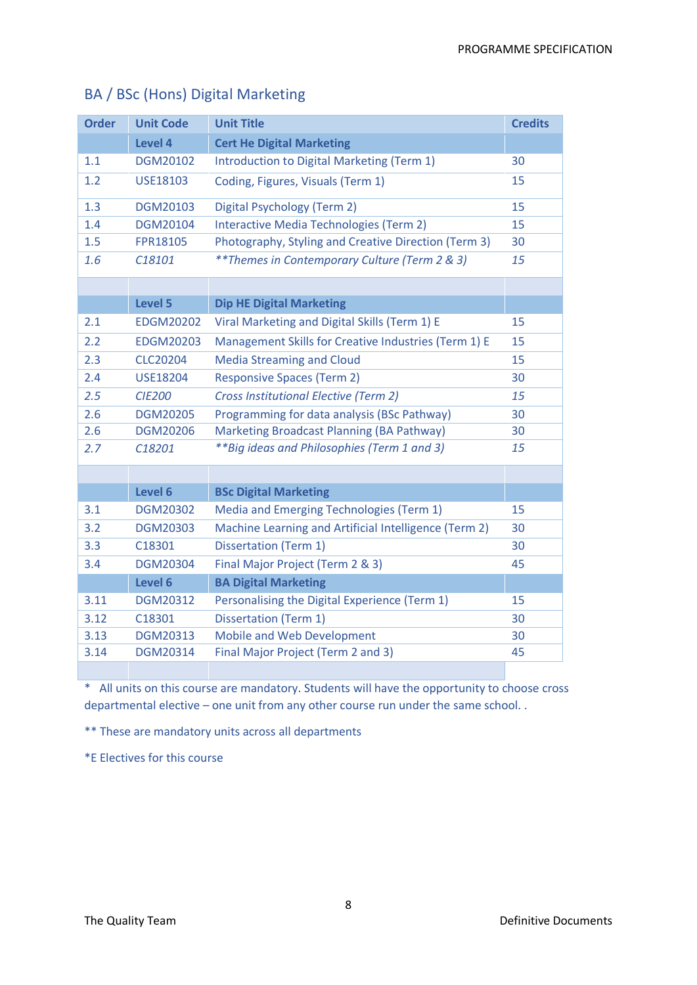| <b>Order</b> | <b>Unit Code</b> | <b>Unit Title</b>                                         | <b>Credits</b> |
|--------------|------------------|-----------------------------------------------------------|----------------|
|              | <b>Level 4</b>   | <b>Cert He Digital Marketing</b>                          |                |
| 1.1          | DGM20102         | Introduction to Digital Marketing (Term 1)                | 30             |
| 1.2          | <b>USE18103</b>  | Coding, Figures, Visuals (Term 1)                         | 15             |
| 1.3          | DGM20103         | Digital Psychology (Term 2)                               | 15             |
| 1.4          | DGM20104         | Interactive Media Technologies (Term 2)                   | 15             |
| 1.5          | <b>FPR18105</b>  | Photography, Styling and Creative Direction (Term 3)      | 30             |
| 1.6          | C18101           | <i>** Themes in Contemporary Culture (Term 2 &amp; 3)</i> | 15             |
|              |                  |                                                           |                |
|              | <b>Level 5</b>   | <b>Dip HE Digital Marketing</b>                           |                |
| 2.1          | <b>EDGM20202</b> | Viral Marketing and Digital Skills (Term 1) E             | 15             |
| 2.2          | <b>EDGM20203</b> | Management Skills for Creative Industries (Term 1) E      | 15             |
| 2.3          | <b>CLC20204</b>  | <b>Media Streaming and Cloud</b>                          | 15             |
| 2.4          | <b>USE18204</b>  | <b>Responsive Spaces (Term 2)</b>                         | 30             |
| 2.5          | <b>CIE200</b>    | <b>Cross Institutional Elective (Term 2)</b>              | 15             |
| 2.6          | <b>DGM20205</b>  | Programming for data analysis (BSc Pathway)               | 30             |
| 2.6          | <b>DGM20206</b>  | Marketing Broadcast Planning (BA Pathway)                 | 30             |
| 2.7          | C18201           | <i>**Big ideas and Philosophies (Term 1 and 3)</i>        | 15             |
|              |                  |                                                           |                |
|              | Level 6          | <b>BSc Digital Marketing</b>                              |                |
| 3.1          | <b>DGM20302</b>  | Media and Emerging Technologies (Term 1)                  | 15             |
| 3.2          | <b>DGM20303</b>  | Machine Learning and Artificial Intelligence (Term 2)     | 30             |
| 3.3          | C18301           | <b>Dissertation (Term 1)</b>                              | 30             |
| 3.4          | <b>DGM20304</b>  | Final Major Project (Term 2 & 3)                          | 45             |
|              | Level 6          | <b>BA Digital Marketing</b>                               |                |
| 3.11         | DGM20312         | Personalising the Digital Experience (Term 1)             | 15             |
| 3.12         | C18301           | <b>Dissertation (Term 1)</b>                              | 30             |
| 3.13         | <b>DGM20313</b>  | Mobile and Web Development                                | 30             |
| 3.14         | DGM20314         | Final Major Project (Term 2 and 3)                        | 45             |
|              |                  |                                                           |                |

# BA / BSc (Hons) Digital Marketing

\* All units on this course are mandatory. Students will have the opportunity to choose cross departmental elective – one unit from any other course run under the same school. .

\*\* These are mandatory units across all departments

\*E Electives for this course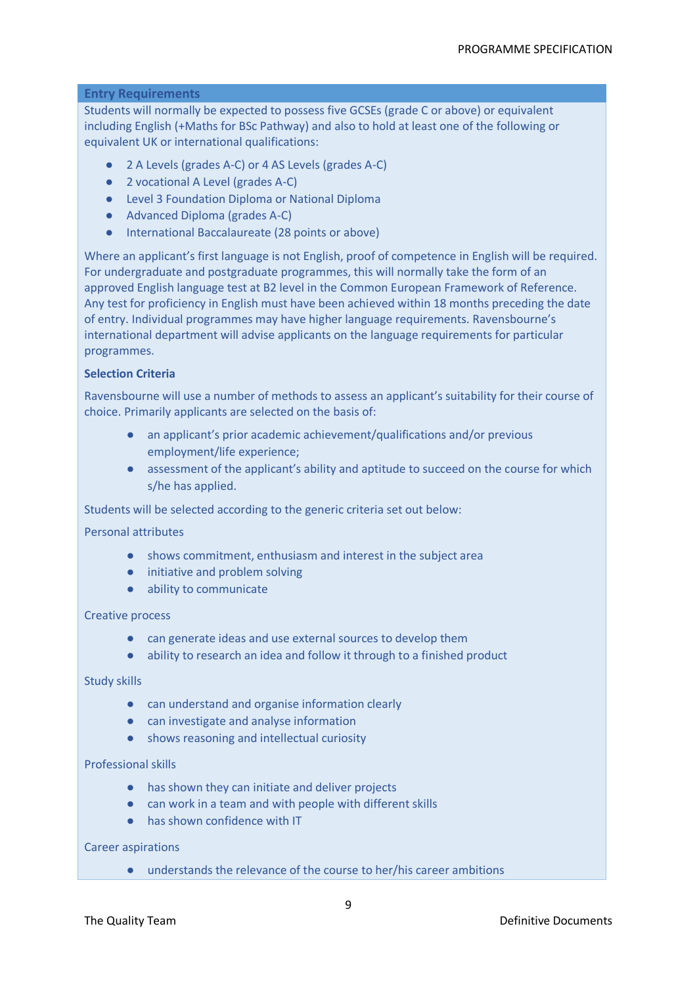# **Entry Requirements**

Students will normally be expected to possess five GCSEs (grade C or above) or equivalent including English (+Maths for BSc Pathway) and also to hold at least one of the following or equivalent UK or international qualifications:

- 2 A Levels (grades A-C) or 4 AS Levels (grades A-C)
- 2 vocational A Level (grades A-C)
- Level 3 Foundation Diploma or National Diploma
- Advanced Diploma (grades A-C)
- International Baccalaureate (28 points or above)

Where an applicant's first language is not English, proof of competence in English will be required. For undergraduate and postgraduate programmes, this will normally take the form of an approved English language test at B2 level in the Common European Framework of Reference. Any test for proficiency in English must have been achieved within 18 months preceding the date of entry. Individual programmes may have higher language requirements. Ravensbourne's international department will advise applicants on the language requirements for particular programmes.

#### **Selection Criteria**

Ravensbourne will use a number of methods to assess an applicant's suitability for their course of choice. Primarily applicants are selected on the basis of:

- an applicant's prior academic achievement/qualifications and/or previous employment/life experience;
- assessment of the applicant's ability and aptitude to succeed on the course for which s/he has applied.

Students will be selected according to the generic criteria set out below:

### Personal attributes

- shows commitment, enthusiasm and interest in the subject area
- initiative and problem solving
- ability to communicate

#### Creative process

- can generate ideas and use external sources to develop them
- ability to research an idea and follow it through to a finished product

# Study skills

- can understand and organise information clearly
- can investigate and analyse information
- shows reasoning and intellectual curiosity

# Professional skills

- has shown they can initiate and deliver projects
- can work in a team and with people with different skills
- has shown confidence with IT

# Career aspirations

● understands the relevance of the course to her/his career ambitions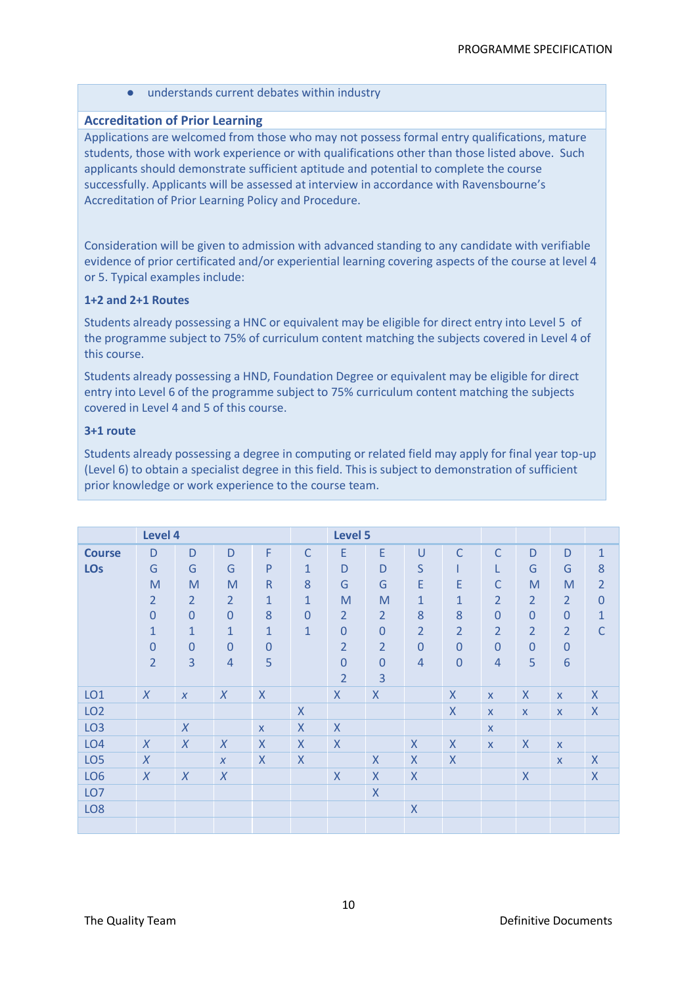● understands current debates within industry

# **Accreditation of Prior Learning**

Applications are welcomed from those who may not possess formal entry qualifications, mature students, those with work experience or with qualifications other than those listed above. Such applicants should demonstrate sufficient aptitude and potential to complete the course successfully. Applicants will be assessed at interview in accordance with Ravensbourne's Accreditation of Prior Learning Policy and Procedure.

Consideration will be given to admission with advanced standing to any candidate with verifiable evidence of prior certificated and/or experiential learning covering aspects of the course at level 4 or 5. Typical examples include:

# **1+2 and 2+1 Routes**

Students already possessing a HNC or equivalent may be eligible for direct entry into Level 5 of the programme subject to 75% of curriculum content matching the subjects covered in Level 4 of this course.

Students already possessing a HND, Foundation Degree or equivalent may be eligible for direct entry into Level 6 of the programme subject to 75% curriculum content matching the subjects covered in Level 4 and 5 of this course.

# **3+1 route**

Students already possessing a degree in computing or related field may apply for final year top-up (Level 6) to obtain a specialist degree in this field. This is subject to demonstration of sufficient prior knowledge or work experience to the course team.

| Level 4         |                |                  |                  |              | Level 5        |                    |                           |                |                    |                |                           |                  |                    |
|-----------------|----------------|------------------|------------------|--------------|----------------|--------------------|---------------------------|----------------|--------------------|----------------|---------------------------|------------------|--------------------|
|                 |                |                  |                  |              |                |                    |                           |                |                    |                |                           |                  |                    |
| <b>Course</b>   | D              | D                | D                | $\mathsf F$  | $\mathsf{C}$   | E                  | E                         | $\cup$         | $\mathsf{C}$       | $\mathsf{C}$   | D                         | D                | $\mathbf{1}$       |
| <b>LOs</b>      | G              | G                | G                | $\mathsf{P}$ | $\mathbf{1}$   | D                  | D                         | S              |                    | L              | G                         | G                | 8                  |
|                 | M              | M                | M                | $\mathsf{R}$ | 8              | G                  | G                         | E              | E                  | C              | M                         | M                | $\overline{2}$     |
|                 | $\overline{2}$ | $\overline{2}$   | $\overline{2}$   | $\mathbf{1}$ | $\mathbf{1}$   | M                  | M                         | $\mathbf{1}$   | $\mathbf{1}$       | $\overline{2}$ | $\overline{2}$            | $\overline{2}$   | $\overline{0}$     |
|                 | $\overline{0}$ | $\mathbf{0}$     | $\overline{0}$   | 8            | $\overline{0}$ | $\overline{2}$     | $\overline{2}$            | 8              | 8                  | $\overline{0}$ | $\Omega$                  | $\boldsymbol{0}$ | $\overline{1}$     |
|                 | $\mathbf{1}$   | $\mathbf{1}$     | $\mathbf{1}$     | $\mathbf{1}$ | $\mathbf{1}$   | $\overline{0}$     | $\mathbf{0}$              | $\overline{2}$ | $\overline{2}$     | $\overline{2}$ | $\overline{2}$            | $\overline{2}$   | $\mathsf{C}$       |
|                 | $\mathbf 0$    | $\overline{0}$   | $\mathbf 0$      | $\theta$     |                | $\overline{2}$     | $\overline{2}$            | $\overline{0}$ | $\overline{0}$     | $\mathbf{0}$   | $\overline{0}$            | $\boldsymbol{0}$ |                    |
|                 | $\overline{2}$ | $\overline{3}$   | $\overline{4}$   | 5            |                | $\overline{0}$     | $\mathbf{0}$              | $\overline{4}$ | $\overline{0}$     | $\overline{4}$ | 5                         | $6\phantom{a}$   |                    |
|                 |                |                  |                  |              |                | $\overline{2}$     | 3                         |                |                    |                |                           |                  |                    |
| LO <sub>1</sub> | $\chi$         | $\boldsymbol{X}$ | $\boldsymbol{X}$ | $\mathsf{X}$ |                | $\mathsf{X}$       | $\mathsf{X}$              |                | $\sf X$            | $\mathsf{X}$   | $\boldsymbol{\mathsf{X}}$ | $\mathsf{X}$     | $\sf X$            |
| LO <sub>2</sub> |                |                  |                  |              | $\mathsf{X}$   |                    |                           |                | $\sf X$            | $\mathsf{X}$   | $\mathsf{X}$              | $\mathsf{X}$     | $\pmb{\mathsf{X}}$ |
| LO <sub>3</sub> |                | $\chi$           |                  | $\mathsf{x}$ | $\mathsf{X}$   | $\mathsf{X}$       |                           |                |                    | $\mathsf{X}$   |                           |                  |                    |
| LO <sub>4</sub> | $\chi$         | $\chi$           | $\chi$           | $\mathsf{X}$ | $\mathsf{X}$   | $\mathsf{X}$       |                           | $\mathsf{X}$   | $\pmb{\mathsf{X}}$ | $\mathsf{X}$   | $\mathsf X$               | $\mathsf{X}$     |                    |
| LO <sub>5</sub> | $\chi$         |                  | $\boldsymbol{X}$ | $\sf X$      | $\sf X$        |                    | $\mathsf{X}$              | $\mathsf{X}$   | $\mathsf{X}$       |                |                           | $\mathsf{X}$     | $\mathsf{X}$       |
| LO <sub>6</sub> | $\chi$         | $\chi$           | $\chi$           |              |                | $\pmb{\mathsf{X}}$ | $\boldsymbol{\mathsf{X}}$ | $\mathsf{X}$   |                    |                | $\mathsf X$               |                  | $\mathsf{X}$       |
| LO <sub>7</sub> |                |                  |                  |              |                |                    | $\overline{\mathsf{X}}$   |                |                    |                |                           |                  |                    |
| LO <sub>8</sub> |                |                  |                  |              |                |                    |                           | $\mathsf{X}$   |                    |                |                           |                  |                    |
|                 |                |                  |                  |              |                |                    |                           |                |                    |                |                           |                  |                    |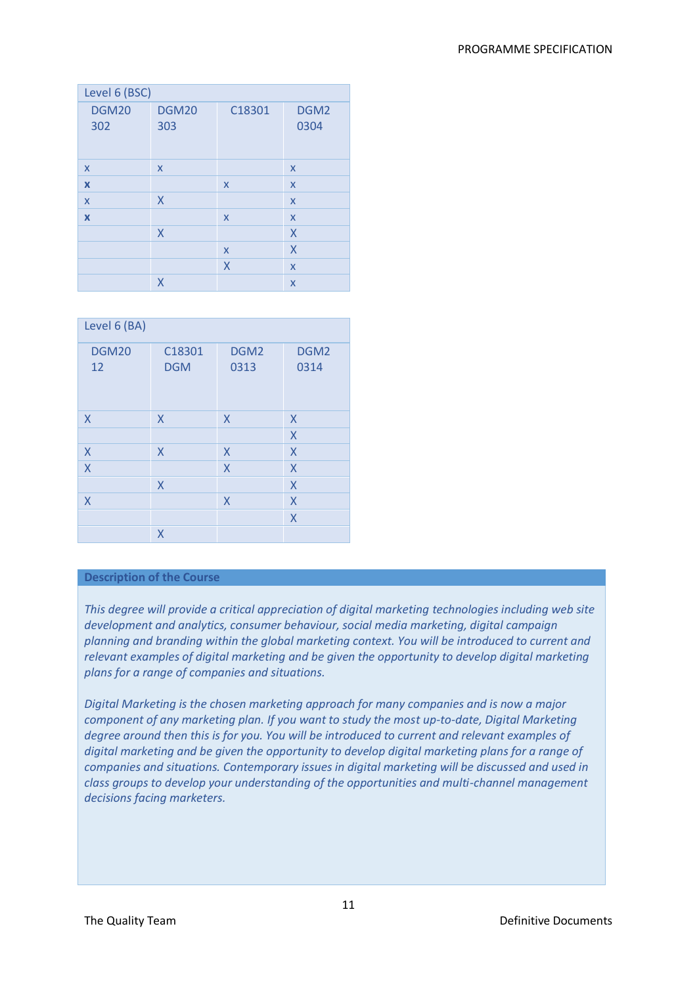| Level 6 (BSC)             |                     |              |                          |  |  |
|---------------------------|---------------------|--------------|--------------------------|--|--|
| <b>DGM20</b><br>302       | <b>DGM20</b><br>303 | C18301       | DGM <sub>2</sub><br>0304 |  |  |
|                           |                     |              |                          |  |  |
| $\boldsymbol{\mathsf{x}}$ | X                   |              | X                        |  |  |
| $\boldsymbol{\mathsf{x}}$ |                     | $\mathsf{x}$ | X                        |  |  |
| $\boldsymbol{\mathsf{x}}$ | X                   |              | X                        |  |  |
| $\boldsymbol{\mathsf{x}}$ |                     | $\mathsf{x}$ | X                        |  |  |
|                           | X                   |              | X                        |  |  |
|                           |                     | $\mathsf{x}$ | X                        |  |  |
|                           |                     | X            | X                        |  |  |
|                           | X                   |              | X                        |  |  |

| Level 6 (BA)            |            |                  |      |  |  |
|-------------------------|------------|------------------|------|--|--|
| <b>DGM20</b>            | C18301     | DGM <sub>2</sub> | DGM2 |  |  |
| 12                      | <b>DGM</b> | 0313             | 0314 |  |  |
|                         |            |                  |      |  |  |
|                         |            |                  |      |  |  |
|                         |            |                  |      |  |  |
| X                       | X          | X                | X    |  |  |
|                         |            |                  | X    |  |  |
| X                       | X          | X                | X    |  |  |
| $\overline{\mathsf{X}}$ |            | $\sf X$          | X    |  |  |
|                         | X          |                  | X    |  |  |
| $\sf X$                 |            | X                | X    |  |  |
|                         |            |                  | X    |  |  |
|                         | X          |                  |      |  |  |

# **Description of the Course**

*This degree will provide a critical appreciation of digital marketing technologies including web site development and analytics, consumer behaviour, social media marketing, digital campaign planning and branding within the global marketing context. You will be introduced to current and relevant examples of digital marketing and be given the opportunity to develop digital marketing plans for a range of companies and situations.*

*Digital Marketing is the chosen marketing approach for many companies and is now a major component of any marketing plan. If you want to study the most up-to-date, Digital Marketing degree around then this is for you. You will be introduced to current and relevant examples of digital marketing and be given the opportunity to develop digital marketing plans for a range of companies and situations. Contemporary issues in digital marketing will be discussed and used in class groups to develop your understanding of the opportunities and multi-channel management decisions facing marketers.*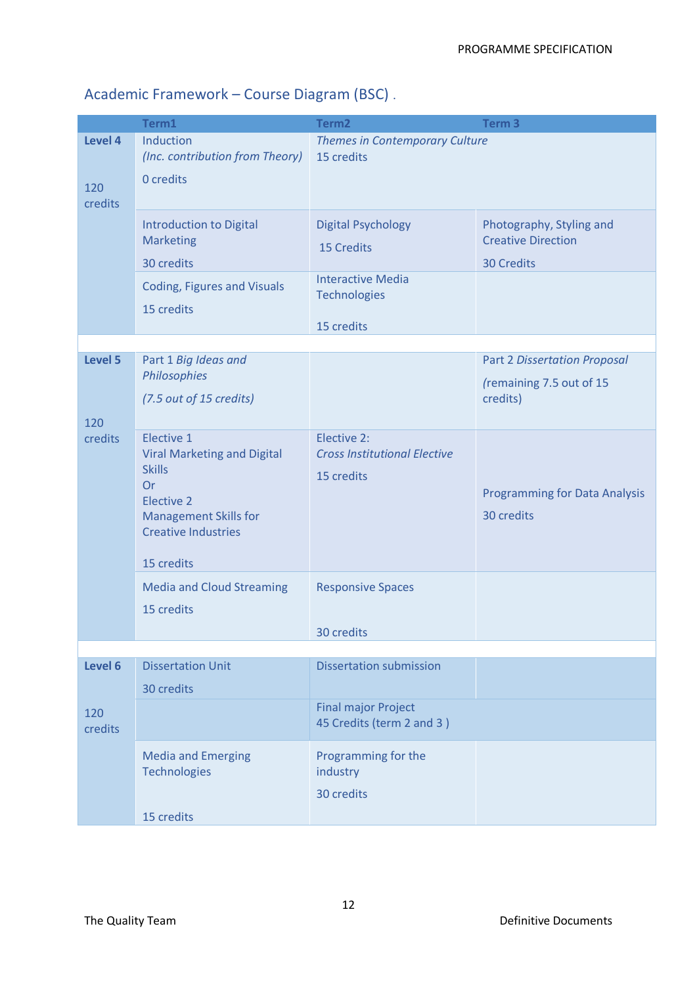# Academic Framework – Course Diagram (BSC) .

|                           | Term1                                                                                                                                                                           | Term <sub>2</sub>                                                                                               | Term <sub>3</sub>                                                           |
|---------------------------|---------------------------------------------------------------------------------------------------------------------------------------------------------------------------------|-----------------------------------------------------------------------------------------------------------------|-----------------------------------------------------------------------------|
| Level 4<br>120<br>credits | Induction<br>(Inc. contribution from Theory)<br>0 credits                                                                                                                       | <b>Themes in Contemporary Culture</b><br>15 credits                                                             |                                                                             |
|                           | <b>Introduction to Digital</b><br><b>Marketing</b><br>30 credits<br><b>Coding, Figures and Visuals</b><br>15 credits                                                            | <b>Digital Psychology</b><br><b>15 Credits</b><br><b>Interactive Media</b><br><b>Technologies</b><br>15 credits | Photography, Styling and<br><b>Creative Direction</b><br><b>30 Credits</b>  |
|                           |                                                                                                                                                                                 |                                                                                                                 |                                                                             |
| Level 5<br>120            | Part 1 Big Ideas and<br>Philosophies<br>(7.5 out of 15 credits)                                                                                                                 |                                                                                                                 | <b>Part 2 Dissertation Proposal</b><br>(remaining 7.5 out of 15<br>credits) |
| credits                   | Elective 1<br><b>Viral Marketing and Digital</b><br><b>Skills</b><br><b>Or</b><br><b>Elective 2</b><br><b>Management Skills for</b><br><b>Creative Industries</b><br>15 credits | Elective 2:<br><b>Cross Institutional Elective</b><br>15 credits                                                | <b>Programming for Data Analysis</b><br>30 credits                          |
|                           | <b>Media and Cloud Streaming</b><br>15 credits                                                                                                                                  | <b>Responsive Spaces</b><br>30 credits                                                                          |                                                                             |
|                           |                                                                                                                                                                                 |                                                                                                                 |                                                                             |
| Level 6                   | <b>Dissertation Unit</b><br>30 credits                                                                                                                                          | <b>Dissertation submission</b>                                                                                  |                                                                             |
| 120<br>credits            |                                                                                                                                                                                 | <b>Final major Project</b><br>45 Credits (term 2 and 3)                                                         |                                                                             |
|                           | <b>Media and Emerging</b><br><b>Technologies</b><br>15 credits                                                                                                                  | Programming for the<br>industry<br>30 credits                                                                   |                                                                             |